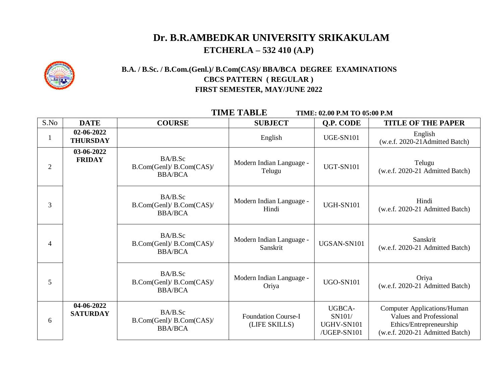## **Dr. B.R.AMBEDKAR UNIVERSITY SRIKAKULAM ETCHERLA – 532 410 (A.P)**



### **B.A. / B.Sc. / B.Com.(Genl.)/ B.Com(CAS)/ BBA/BCA DEGREE EXAMINATIONS CBCS PATTERN ( REGULAR ) FIRST SEMESTER, MAY/JUNE 2022**

 **TIME TABLE TIME: 02.00 P.M TO 05:00 P.M** 

| S.No           | <b>DATE</b>                   | <b>COURSE</b>                                         | <b>SUBJECT</b>                              | Q.P. CODE                                     | <b>TITLE OF THE PAPER</b>                                                                                                          |
|----------------|-------------------------------|-------------------------------------------------------|---------------------------------------------|-----------------------------------------------|------------------------------------------------------------------------------------------------------------------------------------|
|                | 02-06-2022<br><b>THURSDAY</b> |                                                       | English                                     | <b>UGE-SN101</b>                              | English<br>(w.e.f. 2020-21Admitted Batch)                                                                                          |
| $\overline{2}$ | 03-06-2022<br><b>FRIDAY</b>   | BA/B.Sc<br>B.Com(Genl)/ B.Com(CAS)/<br><b>BBA/BCA</b> | Modern Indian Language -<br>Telugu          | <b>UGT-SN101</b>                              | Telugu<br>(w.e.f. 2020-21 Admitted Batch)                                                                                          |
| 3              |                               | BA/B.Sc<br>B.Com(Genl)/ B.Com(CAS)/<br><b>BBA/BCA</b> | Modern Indian Language -<br>Hindi           | <b>UGH-SN101</b>                              | Hindi<br>(w.e.f. 2020-21 Admitted Batch)                                                                                           |
| 4              |                               | BA/B.Sc<br>B.Com(Genl)/ B.Com(CAS)/<br><b>BBA/BCA</b> | Modern Indian Language -<br>Sanskrit        | UGSAN-SN101                                   | Sanskrit<br>(w.e.f. 2020-21 Admitted Batch)                                                                                        |
| 5              |                               | BA/B.Sc<br>B.Com(Genl)/ B.Com(CAS)/<br><b>BBA/BCA</b> | Modern Indian Language -<br>Oriya           | <b>UGO-SN101</b>                              | Oriya<br>(w.e.f. 2020-21 Admitted Batch)                                                                                           |
| 6              | 04-06-2022<br><b>SATURDAY</b> | BA/B.Sc<br>B.Com(Genl)/ B.Com(CAS)/<br><b>BBA/BCA</b> | <b>Foundation Course-I</b><br>(LIFE SKILLS) | UGBCA-<br>SN101/<br>UGHV-SN101<br>/UGEP-SN101 | <b>Computer Applications/Human</b><br><b>Values and Professional</b><br>Ethics/Entrepreneurship<br>(w.e.f. 2020-21 Admitted Batch) |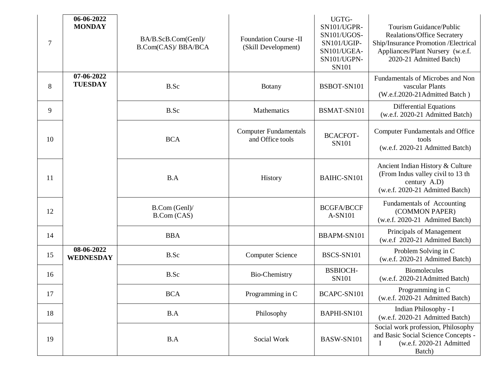| $\tau$ | 06-06-2022<br><b>MONDAY</b>    | BA/B.ScB.Com(Genl)/<br><b>B.Com(CAS)/ BBA/BCA</b> | <b>Foundation Course -II</b><br>(Skill Development) | UGTG-<br>SN101/UGPR-<br>SN101/UGOS-<br>SN101/UGIP-<br>SN101/UGEA-<br>SN101/UGPN-<br><b>SN101</b> | Tourism Guidance/Public<br><b>Realations/Office Secratery</b><br>Ship/Insurance Promotion /Electrical<br>Appliances/Plant Nursery (w.e.f.<br>2020-21 Admitted Batch) |
|--------|--------------------------------|---------------------------------------------------|-----------------------------------------------------|--------------------------------------------------------------------------------------------------|----------------------------------------------------------------------------------------------------------------------------------------------------------------------|
| 8      | 07-06-2022<br><b>TUESDAY</b>   | B.Sc                                              | <b>Botany</b>                                       | BSBOT-SN101                                                                                      | Fundamentals of Microbes and Non<br>vascular Plants<br>(W.e.f.2020-21Admitted Batch)                                                                                 |
| 9      |                                | B.Sc                                              | Mathematics                                         | BSMAT-SN101                                                                                      | <b>Differential Equations</b><br>(w.e.f. 2020-21 Admitted Batch)                                                                                                     |
| 10     |                                | <b>BCA</b>                                        | <b>Computer Fundamentals</b><br>and Office tools    | <b>BCACFOT-</b><br><b>SN101</b>                                                                  | <b>Computer Fundamentals and Office</b><br>tools<br>(w.e.f. 2020-21 Admitted Batch)                                                                                  |
| 11     |                                | B.A                                               | History                                             | <b>BAIHC-SN101</b>                                                                               | Ancient Indian History & Culture<br>(From Indus valley civil to 13 th<br>century A.D)<br>(w.e.f. 2020-21 Admitted Batch)                                             |
| 12     |                                | B.Com (Genl)/<br>B.Com (CAS)                      |                                                     | <b>BCGFA/BCCF</b><br>A-SN101                                                                     | Fundamentals of Accounting<br>(COMMON PAPER)<br>(w.e.f. 2020-21 Admitted Batch)                                                                                      |
| 14     |                                | <b>BBA</b>                                        |                                                     | BBAPM-SN101                                                                                      | Principals of Management<br>(w.e.f 2020-21 Admitted Batch)                                                                                                           |
| 15     | 08-06-2022<br><b>WEDNESDAY</b> | B.Sc                                              | <b>Computer Science</b>                             | BSCS-SN101                                                                                       | Problem Solving in C<br>(w.e.f. 2020-21 Admitted Batch)                                                                                                              |
| 16     |                                | B.Sc                                              | Bio-Chemistry                                       | <b>BSBIOCH-</b><br>SN101                                                                         | <b>Biomolecules</b><br>(w.e.f. 2020-21Admitted Batch)                                                                                                                |
| 17     |                                | <b>BCA</b>                                        | Programming in C                                    | BCAPC-SN101                                                                                      | Programming in C<br>(w.e.f. 2020-21 Admitted Batch)                                                                                                                  |
| 18     |                                | B.A                                               | Philosophy                                          | BAPHI-SN101                                                                                      | Indian Philosophy - I<br>(w.e.f. 2020-21 Admitted Batch)                                                                                                             |
| 19     |                                | B.A                                               | Social Work                                         | BASW-SN101                                                                                       | Social work profession, Philosophy<br>and Basic Social Science Concepts -<br>(w.e.f. 2020-21 Admitted<br>1<br>Batch)                                                 |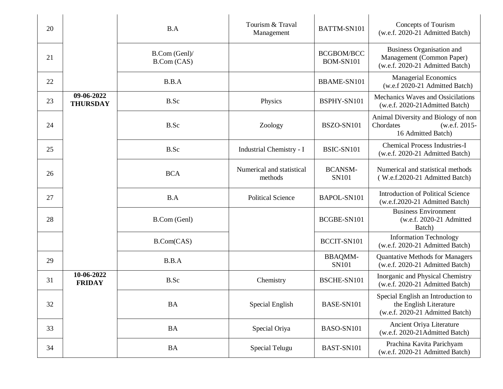| 20 |                               | B.A                          | Tourism & Traval<br>Management       | BATTM-SN101                    | Concepts of Tourism<br>(w.e.f. 2020-21 Admitted Batch)                                           |
|----|-------------------------------|------------------------------|--------------------------------------|--------------------------------|--------------------------------------------------------------------------------------------------|
| 21 |                               | B.Com (Genl)/<br>B.Com (CAS) |                                      | <b>BCGBOM/BCC</b><br>BOM-SN101 | <b>Business Organisation and</b><br>Management (Common Paper)<br>(w.e.f. 2020-21 Admitted Batch) |
| 22 |                               | B.B.A                        |                                      | <b>BBAME-SN101</b>             | <b>Managerial Economics</b><br>(w.e.f 2020-21 Admitted Batch)                                    |
| 23 | 09-06-2022<br><b>THURSDAY</b> | B.Sc                         | Physics                              | BSPHY-SN101                    | Mechanics Waves and Ossicilations<br>(w.e.f. 2020-21Admitted Batch)                              |
| 24 |                               | B.Sc                         | Zoology                              | BSZO-SN101                     | Animal Diversity and Biology of non<br>Chordates<br>(w.e.f. 2015-<br>16 Admitted Batch)          |
| 25 |                               | B.Sc                         | Industrial Chemistry - I             | BSIC-SN101                     | <b>Chemical Process Industries-I</b><br>(w.e.f. 2020-21 Admitted Batch)                          |
| 26 |                               | <b>BCA</b>                   | Numerical and statistical<br>methods | <b>BCANSM-</b><br><b>SN101</b> | Numerical and statistical methods<br>(W.e.f.2020-21 Admitted Batch)                              |
| 27 |                               | B.A                          | <b>Political Science</b>             | BAPOL-SN101                    | <b>Introduction of Political Science</b><br>(w.e.f.2020-21 Admitted Batch)                       |
| 28 |                               | B.Com (Genl)                 |                                      | BCGBE-SN101                    | <b>Business Environment</b><br>(w.e.f. 2020-21 Admitted<br>Batch)                                |
|    |                               | B.Com(CAS)                   |                                      | BCCIT-SN101                    | <b>Information Technology</b><br>(w.e.f. 2020-21 Admitted Batch)                                 |
| 29 |                               | B.B.A                        |                                      | <b>BBAQMM-</b><br><b>SN101</b> | <b>Quantative Methods for Managers</b><br>(w.e.f. 2020-21 Admitted Batch)                        |
| 31 | 10-06-2022<br><b>FRIDAY</b>   | B.Sc                         | Chemistry                            | BSCHE-SN101                    | Inorganic and Physical Chemistry<br>(w.e.f. 2020-21 Admitted Batch)                              |
| 32 |                               | <b>BA</b>                    | Special English                      | BASE-SN101                     | Special English an Introduction to<br>the English Literature<br>(w.e.f. 2020-21 Admitted Batch)  |
| 33 |                               | <b>BA</b>                    | Special Oriya                        | BASO-SN101                     | Ancient Oriya Literature<br>(w.e.f. 2020-21Admitted Batch)                                       |
| 34 |                               | <b>BA</b>                    | Special Telugu                       | BAST-SN101                     | Prachina Kavita Parichyam<br>(w.e.f. 2020-21 Admitted Batch)                                     |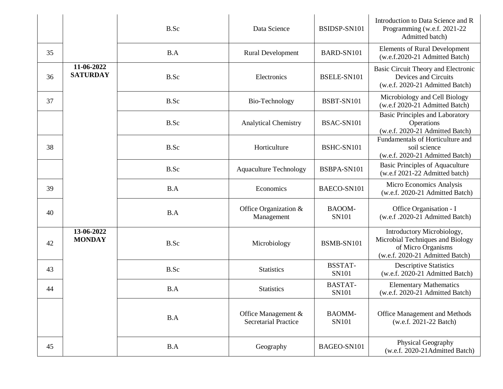|    |                               | B.Sc | Data Science                                       | BSIDSP-SN101            | Introduction to Data Science and R<br>Programming (w.e.f. 2021-22)<br>Admitted batch)                                   |
|----|-------------------------------|------|----------------------------------------------------|-------------------------|-------------------------------------------------------------------------------------------------------------------------|
| 35 |                               | B.A  | <b>Rural Development</b>                           | BARD-SN101              | <b>Elements of Rural Development</b><br>(w.e.f.2020-21 Admitted Batch)                                                  |
| 36 | 11-06-2022<br><b>SATURDAY</b> | B.Sc | Electronics                                        | BSELE-SN101             | Basic Circuit Theory and Electronic<br>Devices and Circuits<br>(w.e.f. 2020-21 Admitted Batch)                          |
| 37 |                               | B.Sc | Bio-Technology                                     | BSBT-SN101              | Microbiology and Cell Biology<br>(w.e.f 2020-21 Admitted Batch)                                                         |
|    |                               | B.Sc | <b>Analytical Chemistry</b>                        | BSAC-SN101              | <b>Basic Principles and Laboratory</b><br>Operations<br>(w.e.f. 2020-21 Admitted Batch)                                 |
| 38 |                               | B.Sc | Horticulture                                       | BSHC-SN101              | Fundamentals of Horticulture and<br>soil science<br>(w.e.f. 2020-21 Admitted Batch)                                     |
|    |                               | B.Sc | <b>Aquaculture Technology</b>                      | BSBPA-SN101             | <b>Basic Principles of Aquaculture</b><br>(w.e.f 2021-22 Admitted batch)                                                |
| 39 |                               | B.A  | Economics                                          | BAECO-SN101             | Micro Economics Analysis<br>(w.e.f. 2020-21 Admitted Batch)                                                             |
| 40 |                               | B.A  | Office Organization &<br>Management                | BAOOM-<br><b>SN101</b>  | Office Organisation - I<br>(w.e.f2020-21 Admitted Batch)                                                                |
| 42 | 13-06-2022<br><b>MONDAY</b>   | B.Sc | Microbiology                                       | BSMB-SN101              | Introductory Microbiology,<br>Microbial Techniques and Biology<br>of Micro Organisms<br>(w.e.f. 2020-21 Admitted Batch) |
| 43 |                               | B.Sc | <b>Statistics</b>                                  | <b>BSSTAT-</b><br>SN101 | <b>Descriptive Statistics</b><br>(w.e.f. 2020-21 Admitted Batch)                                                        |
| 44 |                               | B.A  | <b>Statistics</b>                                  | <b>BASTAT-</b><br>SN101 | <b>Elementary Mathematics</b><br>(w.e.f. 2020-21 Admitted Batch)                                                        |
|    |                               | B.A  | Office Management &<br><b>Secretarial Practice</b> | <b>BAOMM-</b><br>SN101  | Office Management and Methods<br>(w.e.f. 2021-22 Batch)                                                                 |
| 45 |                               | B.A  | Geography                                          | BAGEO-SN101             | Physical Geography<br>(w.e.f. 2020-21Admitted Batch)                                                                    |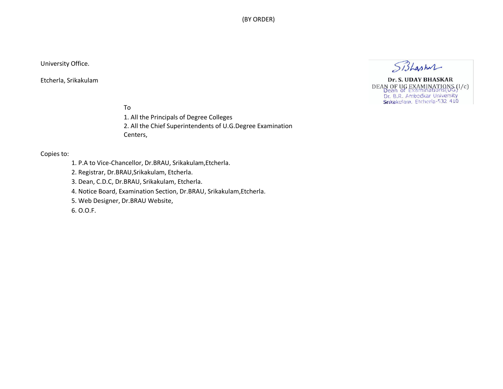(BY ORDER)

#### University Office.

Etcherla, Srikakulam

Sishashul

Dr. S. UDAY BHASKAR DEAN OF UG EXAMINATIONS (I/c)<br>Dean of Examinations (UG)<br>Dr. B.R. Ambedkar University<br>Srikakularn, Etcheria-532 410

To

1. All the Principals of Degree Colleges 2. All the Chief Superintendents of U.G.Degree Examination Centers,

#### Copies to:

1. P.A to Vice-Chancellor, Dr.BRAU, Srikakulam,Etcherla.

2. Registrar, Dr.BRAU,Srikakulam, Etcherla.

3. Dean, C.D.C, Dr.BRAU, Srikakulam, Etcherla.

4. Notice Board, Examination Section, Dr.BRAU, Srikakulam,Etcherla.

5. Web Designer, Dr.BRAU Website,

6. O.O.F.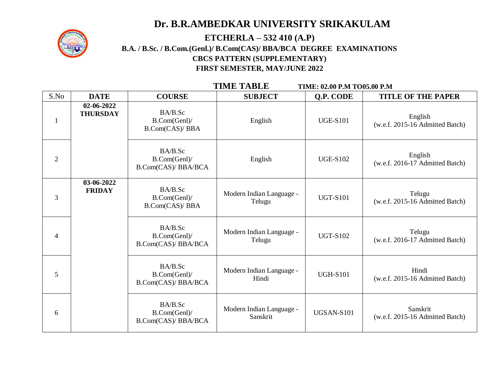# **Dr. B.R.AMBEDKAR UNIVERSITY SRIKAKULAM**



### **ETCHERLA – 532 410 (A.P) B.A. / B.Sc. / B.Com.(Genl.)/ B.Com(CAS)/ BBA/BCA DEGREE EXAMINATIONS CBCS PATTERN (SUPPLEMENTARY) FIRST SEMESTER, MAY/JUNE 2022**

 **TIME TABLE TIME: 02.00 P.M TO05.00 P.M** 

| S.No           | <b>DATE</b>                   | <b>COURSE</b>                                         | <b>SUBJECT</b>                       | Q.P. CODE       | <b>TITLE OF THE PAPER</b>                   |
|----------------|-------------------------------|-------------------------------------------------------|--------------------------------------|-----------------|---------------------------------------------|
|                | 02-06-2022<br><b>THURSDAY</b> | BA/B.Sc<br>B.Com(Genl)/<br><b>B.Com(CAS)/ BBA</b>     | English                              | <b>UGE-S101</b> | English<br>(w.e.f. 2015-16 Admitted Batch)  |
| $\overline{2}$ |                               | BA/B.Sc<br>B.Com(Genl)/<br><b>B.Com(CAS)/ BBA/BCA</b> | English                              | <b>UGE-S102</b> | English<br>(w.e.f. 2016-17 Admitted Batch)  |
| 3              | 03-06-2022<br><b>FRIDAY</b>   | BA/B.Sc<br>B.Com(Genl)/<br>B.Com(CAS)/BBA             | Modern Indian Language -<br>Telugu   | <b>UGT-S101</b> | Telugu<br>(w.e.f. 2015-16 Admitted Batch)   |
| $\overline{4}$ |                               | BA/B.Sc<br>B.Com(Genl)/<br><b>B.Com(CAS)/ BBA/BCA</b> | Modern Indian Language -<br>Telugu   | <b>UGT-S102</b> | Telugu<br>(w.e.f. 2016-17 Admitted Batch)   |
| 5              |                               | BA/B.Sc<br>B.Com(Genl)/<br>B.Com(CAS)/ BBA/BCA        | Modern Indian Language -<br>Hindi    | <b>UGH-S101</b> | Hindi<br>(w.e.f. 2015-16 Admitted Batch)    |
| 6              |                               | BA/B.Sc<br>B.Com(Genl)/<br>B.Com(CAS)/ BBA/BCA        | Modern Indian Language -<br>Sanskrit | UGSAN-S101      | Sanskrit<br>(w.e.f. 2015-16 Admitted Batch) |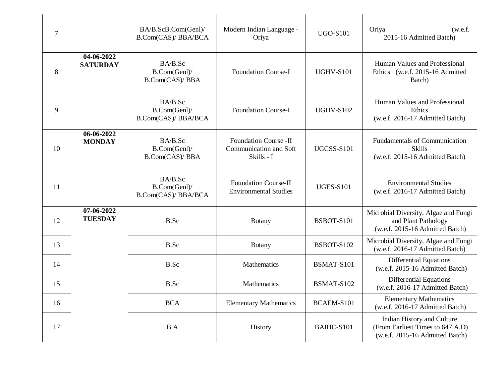| $\overline{7}$ |                               | BA/B.ScB.Com(Genl)/<br>B.Com(CAS)/ BBA/BCA     | Modern Indian Language -<br>Oriya                                    | <b>UGO-S101</b>   | Oriya<br>(w.e.f.<br>2015-16 Admitted Batch)                                                       |
|----------------|-------------------------------|------------------------------------------------|----------------------------------------------------------------------|-------------------|---------------------------------------------------------------------------------------------------|
| 8              | 04-06-2022<br><b>SATURDAY</b> | BA/B.Sc<br>B.Com(Genl)/<br>B.Com(CAS)/BBA      | <b>Foundation Course-I</b>                                           | <b>UGHV-S101</b>  | Human Values and Professional<br>Ethics (w.e.f. 2015-16 Admitted<br>Batch)                        |
| 9              |                               | BA/B.Sc<br>B.Com(Genl)/<br>B.Com(CAS)/ BBA/BCA | <b>Foundation Course-I</b>                                           | <b>UGHV-S102</b>  | Human Values and Professional<br>Ethics<br>(w.e.f. 2016-17 Admitted Batch)                        |
| 10             | 06-06-2022<br><b>MONDAY</b>   | BA/B.Sc<br>B.Com(Genl)/<br>B.Com(CAS)/BBA      | <b>Foundation Course -II</b><br>Communication and Soft<br>Skills - I | <b>UGCSS-S101</b> | <b>Fundamentals of Communication</b><br><b>Skills</b><br>(w.e.f. 2015-16 Admitted Batch)          |
| 11             |                               | BA/B.Sc<br>B.Com(Genl)/<br>B.Com(CAS)/ BBA/BCA | <b>Foundation Course-II</b><br><b>Environmental Studies</b>          | <b>UGES-S101</b>  | <b>Environmental Studies</b><br>(w.e.f. 2016-17 Admitted Batch)                                   |
| 12             | 07-06-2022<br><b>TUESDAY</b>  | B.Sc                                           | <b>Botany</b>                                                        | BSBOT-S101        | Microbial Diversity, Algae and Fungi<br>and Plant Pathology<br>(w.e.f. 2015-16 Admitted Batch)    |
| 13             |                               | B.Sc                                           | <b>Botany</b>                                                        | BSBOT-S102        | Microbial Diversity, Algae and Fungi<br>(w.e.f. 2016-17 Admitted Batch)                           |
| 14             |                               | B.Sc                                           | Mathematics                                                          | BSMAT-S101        | Differential Equations<br>(w.e.f. 2015-16 Admitted Batch)                                         |
| 15             |                               | B.Sc                                           | Mathematics                                                          | BSMAT-S102        | Differential Equations<br>(w.e.f. 2016-17 Admitted Batch)                                         |
| 16             |                               | <b>BCA</b>                                     | <b>Elementary Mathematics</b>                                        | BCAEM-S101        | <b>Elementary Mathematics</b><br>(w.e.f. 2016-17 Admitted Batch)                                  |
| 17             |                               | B.A                                            | History                                                              | BAIHC-S101        | Indian History and Culture<br>(From Earliest Times to 647 A.D)<br>(w.e.f. 2015-16 Admitted Batch) |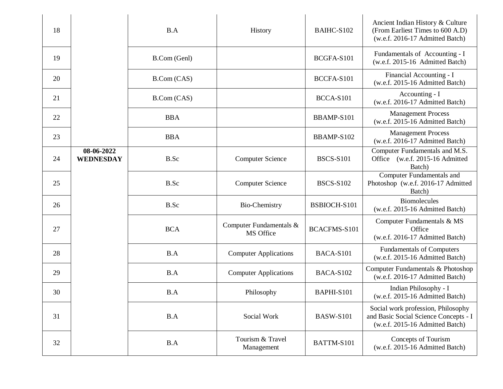| 18 |                                | B.A          | History                              | BAIHC-S102       | Ancient Indian History & Culture<br>(From Earliest Times to 600 A.D)<br>(w.e.f. 2016-17 Admitted Batch)        |
|----|--------------------------------|--------------|--------------------------------------|------------------|----------------------------------------------------------------------------------------------------------------|
| 19 |                                | B.Com (Genl) |                                      | BCGFA-S101       | Fundamentals of Accounting - I<br>(w.e.f. 2015-16 Admitted Batch)                                              |
| 20 |                                | B.Com (CAS)  |                                      | BCCFA-S101       | Financial Accounting - I<br>(w.e.f. 2015-16 Admitted Batch)                                                    |
| 21 |                                | B.Com (CAS)  |                                      | BCCA-S101        | Accounting - I<br>(w.e.f. 2016-17 Admitted Batch)                                                              |
| 22 |                                | <b>BBA</b>   |                                      | BBAMP-S101       | <b>Management Process</b><br>(w.e.f. 2015-16 Admitted Batch)                                                   |
| 23 |                                | <b>BBA</b>   |                                      | BBAMP-S102       | <b>Management Process</b><br>(w.e.f. 2016-17 Admitted Batch)                                                   |
| 24 | 08-06-2022<br><b>WEDNESDAY</b> | B.Sc         | <b>Computer Science</b>              | <b>BSCS-S101</b> | Computer Fundamentals and M.S.<br>Office (w.e.f. 2015-16 Admitted<br>Batch)                                    |
| 25 |                                | B.Sc         | <b>Computer Science</b>              | <b>BSCS-S102</b> | Computer Fundamentals and<br>Photoshop (w.e.f. 2016-17 Admitted<br>Batch)                                      |
| 26 |                                | B.Sc         | Bio-Chemistry                        | BSBIOCH-S101     | <b>Biomolecules</b><br>(w.e.f. 2015-16 Admitted Batch)                                                         |
| 27 |                                | <b>BCA</b>   | Computer Fundamentals &<br>MS Office | BCACFMS-S101     | Computer Fundamentals & MS<br>Office<br>(w.e.f. 2016-17 Admitted Batch)                                        |
| 28 |                                | B.A          | <b>Computer Applications</b>         | BACA-S101        | <b>Fundamentals of Computers</b><br>(w.e.f. 2015-16 Admitted Batch)                                            |
| 29 |                                | B.A          | <b>Computer Applications</b>         | BACA-S102        | Computer Fundamentals & Photoshop<br>(w.e.f. 2016-17 Admitted Batch)                                           |
| 30 |                                | B.A          | Philosophy                           | BAPHI-S101       | Indian Philosophy - I<br>(w.e.f. 2015-16 Admitted Batch)                                                       |
| 31 |                                | B.A          | Social Work                          | <b>BASW-S101</b> | Social work profession, Philosophy<br>and Basic Social Science Concepts - I<br>(w.e.f. 2015-16 Admitted Batch) |
| 32 |                                | B.A          | Tourism & Travel<br>Management       | BATTM-S101       | Concepts of Tourism<br>(w.e.f. 2015-16 Admitted Batch)                                                         |
|    |                                |              |                                      |                  |                                                                                                                |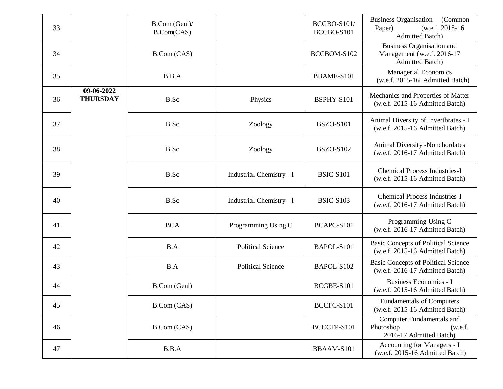| 33 |                               | B.Com (Genl)/<br>B.Com(CAS) |                          | <b>BCGBO-S101/</b><br>BCCBO-S101 | Business Organisation (Common<br>(w.e.f. 2015-16)<br>Paper)<br><b>Admitted Batch)</b> |
|----|-------------------------------|-----------------------------|--------------------------|----------------------------------|---------------------------------------------------------------------------------------|
| 34 |                               | B.Com (CAS)                 |                          | BCCBOM-S102                      | Business Organisation and<br>Management (w.e.f. 2016-17<br><b>Admitted Batch</b> )    |
| 35 |                               | B.B.A                       |                          | BBAME-S101                       | <b>Managerial Economics</b><br>(w.e.f. 2015-16 Admitted Batch)                        |
| 36 | 09-06-2022<br><b>THURSDAY</b> | B.Sc                        | Physics                  | BSPHY-S101                       | Mechanics and Properties of Matter<br>(w.e.f. 2015-16 Admitted Batch)                 |
| 37 |                               | B.Sc                        | Zoology                  | <b>BSZO-S101</b>                 | Animal Diversity of Invertbrates - I<br>(w.e.f. 2015-16 Admitted Batch)               |
| 38 |                               | B.Sc                        | Zoology                  | <b>BSZO-S102</b>                 | Animal Diversity -Nonchordates<br>(w.e.f. 2016-17 Admitted Batch)                     |
| 39 |                               | B.Sc                        | Industrial Chemistry - I | <b>BSIC-S101</b>                 | <b>Chemical Process Industries-I</b><br>(w.e.f. 2015-16 Admitted Batch)               |
| 40 |                               | B.Sc                        | Industrial Chemistry - I | <b>BSIC-S103</b>                 | <b>Chemical Process Industries-I</b><br>(w.e.f. 2016-17 Admitted Batch)               |
| 41 |                               | <b>BCA</b>                  | Programming Using C      | BCAPC-S101                       | Programming Using C<br>(w.e.f. 2016-17 Admitted Batch)                                |
| 42 |                               | B.A                         | <b>Political Science</b> | BAPOL-S101                       | <b>Basic Concepts of Political Science</b><br>(w.e.f. 2015-16 Admitted Batch)         |
| 43 |                               | B.A                         | <b>Political Science</b> | BAPOL-S102                       | <b>Basic Concepts of Political Science</b><br>(w.e.f. 2016-17 Admitted Batch)         |
| 44 |                               | B.Com (Genl)                |                          | BCGBE-S101                       | <b>Business Economics - I</b><br>(w.e.f. 2015-16 Admitted Batch)                      |
| 45 |                               | B.Com (CAS)                 |                          | BCCFC-S101                       | <b>Fundamentals of Computers</b><br>(w.e.f. 2015-16 Admitted Batch)                   |
| 46 |                               | B.Com (CAS)                 |                          | BCCCFP-S101                      | Computer Fundamentals and<br>Photoshop<br>(w.e.f.<br>2016-17 Admitted Batch)          |
| 47 |                               | B.B.A                       |                          | BBAAM-S101                       | Accounting for Managers - I<br>(w.e.f. 2015-16 Admitted Batch)                        |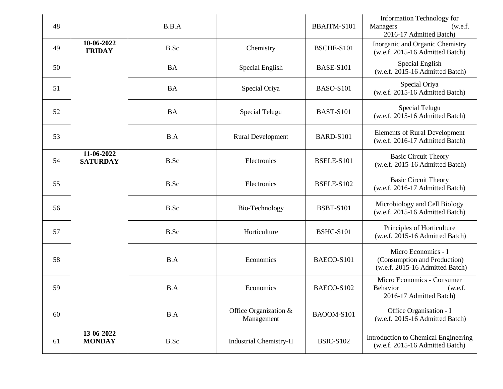| 48 |                               | B.B.A     |                                     | BBAITM-S101      | Information Technology for<br><b>Managers</b><br>(w.e.f.<br>2016-17 Admitted Batch)    |
|----|-------------------------------|-----------|-------------------------------------|------------------|----------------------------------------------------------------------------------------|
| 49 | 10-06-2022<br><b>FRIDAY</b>   | B.Sc      | Chemistry                           | BSCHE-S101       | Inorganic and Organic Chemistry<br>(w.e.f. 2015-16 Admitted Batch)                     |
| 50 |                               | <b>BA</b> | Special English                     | <b>BASE-S101</b> | Special English<br>(w.e.f. 2015-16 Admitted Batch)                                     |
| 51 |                               | <b>BA</b> | Special Oriya                       | <b>BASO-S101</b> | Special Oriya<br>(w.e.f. 2015-16 Admitted Batch)                                       |
| 52 |                               | <b>BA</b> | Special Telugu                      | <b>BAST-S101</b> | Special Telugu<br>(w.e.f. 2015-16 Admitted Batch)                                      |
| 53 |                               | B.A       | <b>Rural Development</b>            | <b>BARD-S101</b> | <b>Elements of Rural Development</b><br>(w.e.f. 2016-17 Admitted Batch)                |
| 54 | 11-06-2022<br><b>SATURDAY</b> | B.Sc      | Electronics                         | BSELE-S101       | <b>Basic Circuit Theory</b><br>(w.e.f. 2015-16 Admitted Batch)                         |
| 55 |                               | B.Sc      | Electronics                         | BSELE-S102       | <b>Basic Circuit Theory</b><br>(w.e.f. 2016-17 Admitted Batch)                         |
| 56 |                               | B.Sc      | Bio-Technology                      | <b>BSBT-S101</b> | Microbiology and Cell Biology<br>(w.e.f. 2015-16 Admitted Batch)                       |
| 57 |                               | B.Sc      | Horticulture                        | <b>BSHC-S101</b> | Principles of Horticulture<br>(w.e.f. 2015-16 Admitted Batch)                          |
| 58 |                               | B.A       | Economics                           | BAECO-S101       | Micro Economics - I<br>(Consumption and Production)<br>(w.e.f. 2015-16 Admitted Batch) |
| 59 |                               | B.A       | Economics                           | BAECO-S102       | Micro Economics - Consumer<br>Behavior<br>(w.e.f.<br>2016-17 Admitted Batch)           |
| 60 |                               | B.A       | Office Organization &<br>Management | BAOOM-S101       | Office Organisation - I<br>(w.e.f. 2015-16 Admitted Batch)                             |
| 61 | 13-06-2022<br><b>MONDAY</b>   | B.Sc      | <b>Industrial Chemistry-II</b>      | <b>BSIC-S102</b> | Introduction to Chemical Engineering<br>(w.e.f. 2015-16 Admitted Batch)                |